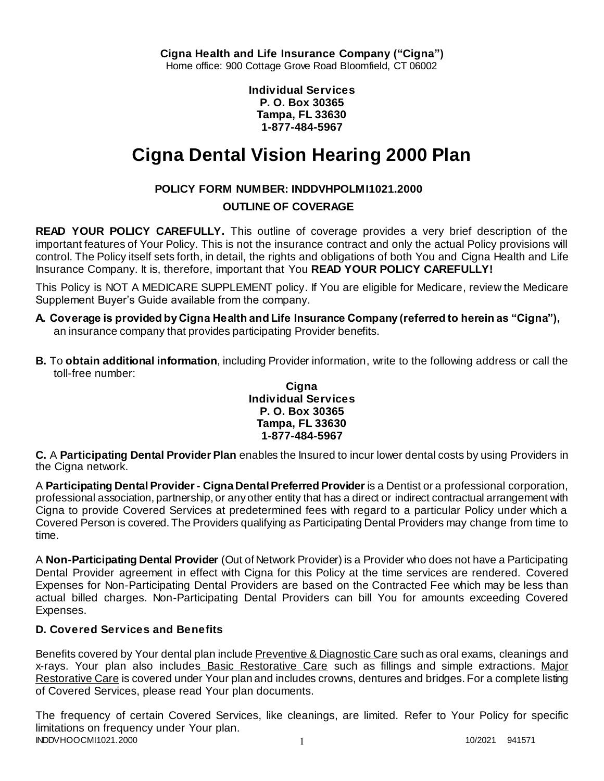**Individual Services P. O. Box 30365 Tampa, FL 33630 1-877-484-5967**

# **Cigna Dental Vision Hearing 2000 Plan**

# **POLICY FORM NUMBER: INDDVHPOLMI1021.2000**

# **OUTLINE OF COVERAGE**

**READ YOUR POLICY CAREFULLY.** This outline of coverage provides a very brief description of the important features of Your Policy. This is not the insurance contract and only the actual Policy provisions will control. The Policy itself sets forth, in detail, the rights and obligations of both You and Cigna Health and Life Insurance Company. It is, therefore, important that You **READ YOUR POLICY CAREFULLY!** 

This Policy is NOT A MEDICARE SUPPLEMENT policy. If You are eligible for Medicare, review the Medicare Supplement Buyer's Guide available from the company.

- **A. Coverage is provided by Cigna Health and Life Insurance Company (referred to herein as "Cigna"),**  an insurance company that provides participating Provider benefits.
- **B.** To **obtain additional information**, including Provider information, write to the following address or call the toll-free number:

## **Cigna Individual Services P. O. Box 30365 Tampa, FL 33630 1-877-484-5967**

**C.** A **Participating Dental Provider Plan** enables the Insured to incur lower dental costs by using Providers in the Cigna network.

A **Participating Dental Provider - Cigna Dental Preferred Provider** is a Dentist or a professional corporation, professional association, partnership, or any other entity that has a direct or indirect contractual arrangement with Cigna to provide Covered Services at predetermined fees with regard to a particular Policy under which a Covered Person is covered. The Providers qualifying as Participating Dental Providers may change from time to time.

A **Non-Participating Dental Provider** (Out of Network Provider) is a Provider who does not have a Participating Dental Provider agreement in effect with Cigna for this Policy at the time services are rendered. Covered Expenses for Non-Participating Dental Providers are based on the Contracted Fee which may be less than actual billed charges. Non-Participating Dental Providers can bill You for amounts exceeding Covered Expenses.

# **D. Covered Services and Benefits**

Benefits covered by Your dental plan include Preventive & Diagnostic Care such as oral exams, cleanings and x-rays. Your plan also includes Basic Restorative Care such as fillings and simple extractions. Major Restorative Care is covered under Your plan and includes crowns, dentures and bridges. For a complete listing of Covered Services, please read Your plan documents.

INDDVHOOCMI1021.2000 1 2000 1 2000 1 2000 1 2000 1 2000 1 2000 1 2000 1 2000 1 2000 1 2000 1 2000 1 2000 1 200 The frequency of certain Covered Services, like cleanings, are limited. Refer to Your Policy for specific limitations on frequency under Your plan.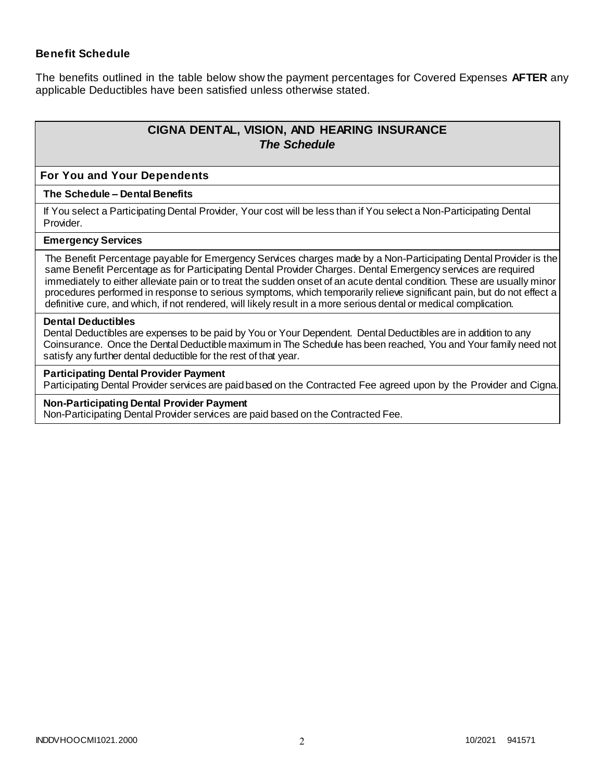## **Benefit Schedule**

The benefits outlined in the table below show the payment percentages for Covered Expenses **AFTER** any applicable Deductibles have been satisfied unless otherwise stated.

# **CIGNA DENTAL, VISION, AND HEARING INSURANCE** *The Schedule*

#### **For You and Your Dependents**

#### **The Schedule – Dental Benefits**

If You select a Participating Dental Provider, Your cost will be less than if You select a Non-Participating Dental Provider.

#### **Emergency Services**

The Benefit Percentage payable for Emergency Services charges made by a Non-Participating Dental Provider is the same Benefit Percentage as for Participating Dental Provider Charges. Dental Emergency services are required immediately to either alleviate pain or to treat the sudden onset of an acute dental condition. These are usually minor procedures performed in response to serious symptoms, which temporarily relieve significant pain, but do not effect a definitive cure, and which, if not rendered, will likely result in a more serious dental or medical complication.

#### **Dental Deductibles**

Dental Deductibles are expenses to be paid by You or Your Dependent. Dental Deductibles are in addition to any Coinsurance. Once the Dental Deductible maximum in The Schedule has been reached, You and Your family need not satisfy any further dental deductible for the rest of that year.

#### **Participating Dental Provider Payment**

Participating Dental Provider services are paid based on the Contracted Fee agreed upon by the Provider and Cigna.

#### **Non-Participating Dental Provider Payment**

Non-Participating Dental Provider services are paid based on the Contracted Fee.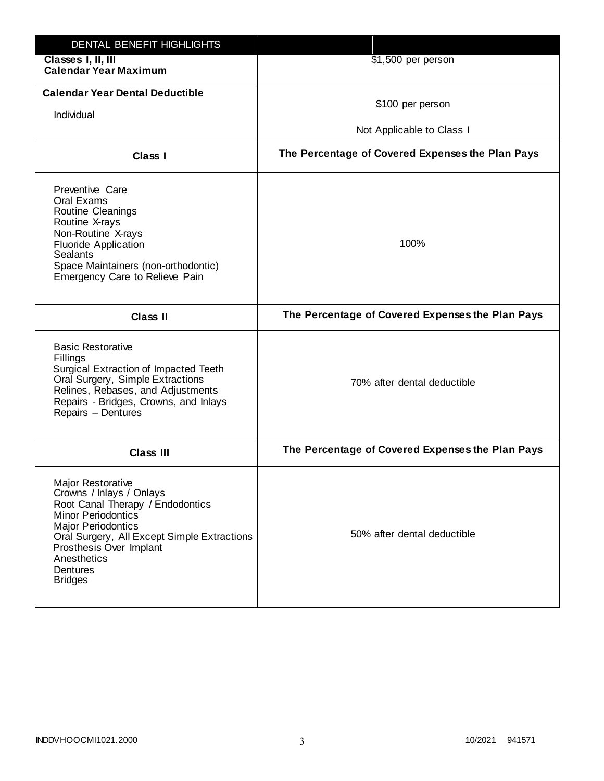| DENTAL BENEFIT HIGHLIGHTS                                                                                                                                                                                                                                          |                                                  |
|--------------------------------------------------------------------------------------------------------------------------------------------------------------------------------------------------------------------------------------------------------------------|--------------------------------------------------|
| Classes I, II, III<br><b>Calendar Year Maximum</b>                                                                                                                                                                                                                 | \$1,500 per person                               |
| <b>Calendar Year Dental Deductible</b><br>Individual                                                                                                                                                                                                               | \$100 per person<br>Not Applicable to Class I    |
| Class I                                                                                                                                                                                                                                                            | The Percentage of Covered Expenses the Plan Pays |
| Preventive Care<br>Oral Exams<br>Routine Cleanings<br>Routine X-rays<br>Non-Routine X-rays<br><b>Fluoride Application</b><br><b>Sealants</b><br>Space Maintainers (non-orthodontic)<br>Emergency Care to Relieve Pain                                              | 100%                                             |
| <b>Class II</b>                                                                                                                                                                                                                                                    | The Percentage of Covered Expenses the Plan Pays |
| <b>Basic Restorative</b><br>Fillings<br>Surgical Extraction of Impacted Teeth<br>Oral Surgery, Simple Extractions<br>Relines, Rebases, and Adjustments<br>Repairs - Bridges, Crowns, and Inlays<br>Repairs - Dentures                                              | 70% after dental deductible                      |
| <b>Class III</b>                                                                                                                                                                                                                                                   | The Percentage of Covered Expenses the Plan Pays |
| Major Restorative<br>Crowns / Inlays / Onlays<br>Root Canal Therapy / Endodontics<br><b>Minor Periodontics</b><br><b>Major Periodontics</b><br>Oral Surgery, All Except Simple Extractions<br>Prosthesis Over Implant<br>Anesthetics<br>Dentures<br><b>Bridges</b> | 50% after dental deductible                      |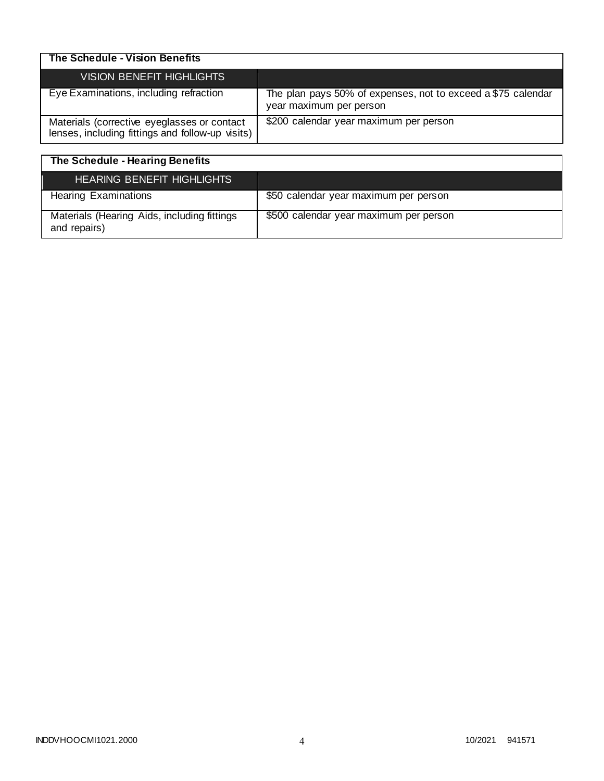| The Schedule - Vision Benefits                                                                  |                                                                                         |
|-------------------------------------------------------------------------------------------------|-----------------------------------------------------------------------------------------|
| VISION BENEFIT HIGHLIGHTS                                                                       |                                                                                         |
| Eye Examinations, including refraction                                                          | The plan pays 50% of expenses, not to exceed a \$75 calendar<br>year maximum per person |
| Materials (corrective eyeglasses or contact<br>lenses, including fittings and follow-up visits) | \$200 calendar year maximum per person                                                  |

| The Schedule - Hearing Benefits                             |                                        |
|-------------------------------------------------------------|----------------------------------------|
| <b>HEARING BENEFIT HIGHLIGHTS</b>                           |                                        |
| <b>Hearing Examinations</b>                                 | \$50 calendar year maximum per person  |
| Materials (Hearing Aids, including fittings<br>and repairs) | \$500 calendar year maximum per person |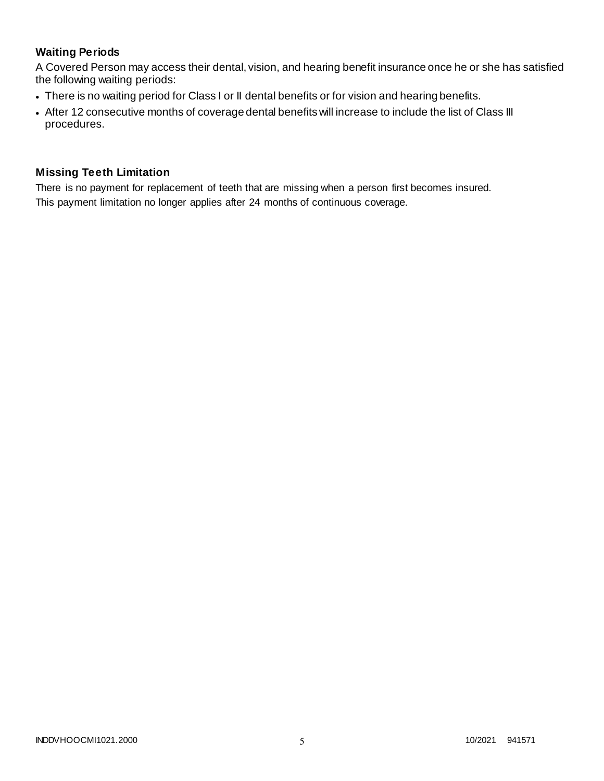# **Waiting Periods**

A Covered Person may access their dental, vision, and hearing benefit insurance once he or she has satisfied the following waiting periods:

- There is no waiting period for Class I or II dental benefits or for vision and hearing benefits.
- After 12 consecutive months of coverage dental benefits will increase to include the list of Class III procedures.

## **Missing Teeth Limitation**

There is no payment for replacement of teeth that are missing when a person first becomes insured. This payment limitation no longer applies after 24 months of continuous coverage.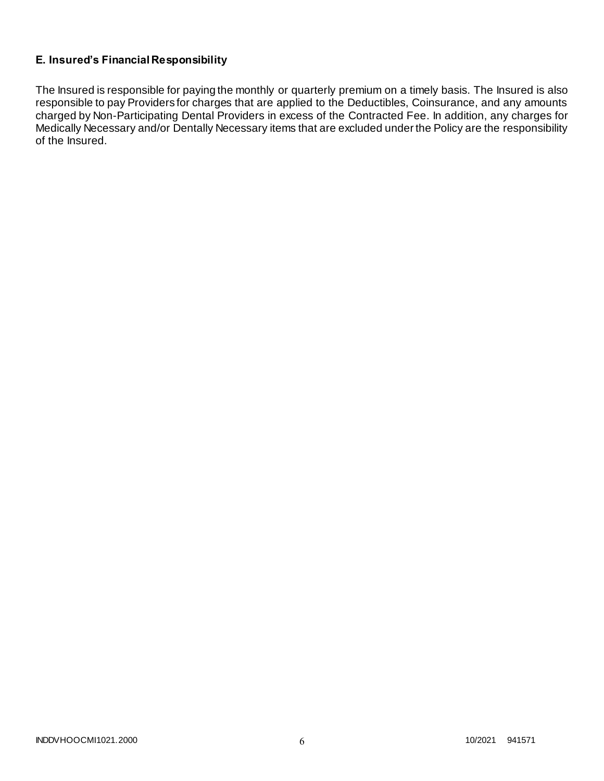# **E. Insured's Financial Responsibility**

The Insured is responsible for paying the monthly or quarterly premium on a timely basis. The Insured is also responsible to pay Providers for charges that are applied to the Deductibles, Coinsurance, and any amounts charged by Non-Participating Dental Providers in excess of the Contracted Fee. In addition, any charges for Medically Necessary and/or Dentally Necessary items that are excluded under the Policy are the responsibility of the Insured.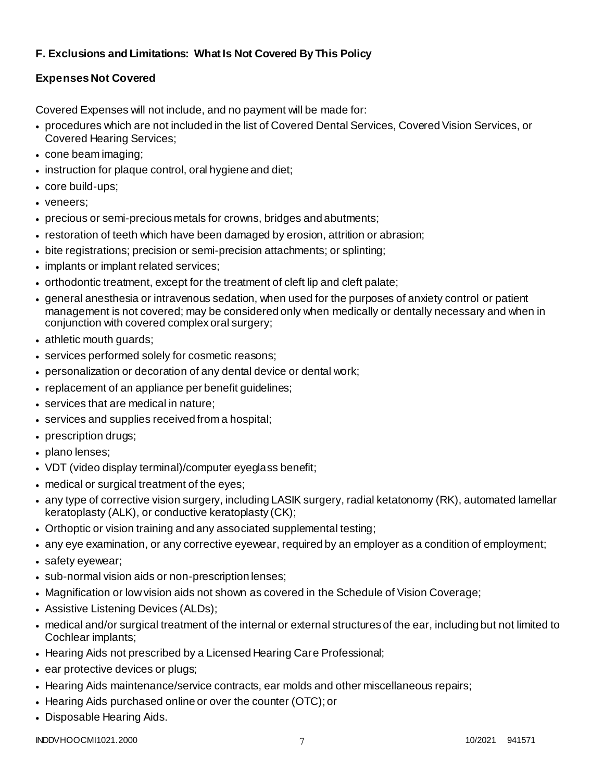# **F. Exclusions and Limitations: What Is Not Covered By This Policy**

# **Expenses Not Covered**

Covered Expenses will not include, and no payment will be made for:

- procedures which are not included in the list of Covered Dental Services, Covered Vision Services, or Covered Hearing Services;
- cone beam imaging;
- instruction for plaque control, oral hygiene and diet;
- core build-ups;
- veneers;
- precious or semi-precious metals for crowns, bridges and abutments;
- restoration of teeth which have been damaged by erosion, attrition or abrasion;
- bite registrations; precision or semi-precision attachments; or splinting;
- implants or implant related services;
- orthodontic treatment, except for the treatment of cleft lip and cleft palate;
- general anesthesia or intravenous sedation, when used for the purposes of anxiety control or patient management is not covered; may be considered only when medically or dentally necessary and when in conjunction with covered complex oral surgery;
- athletic mouth guards;
- services performed solely for cosmetic reasons;
- personalization or decoration of any dental device or dental work;
- replacement of an appliance per benefit guidelines;
- services that are medical in nature:
- services and supplies received from a hospital;
- prescription drugs;
- plano lenses:
- VDT (video display terminal)/computer eyeglass benefit;
- medical or surgical treatment of the eyes;
- any type of corrective vision surgery, including LASIK surgery, radial ketatonomy (RK), automated lamellar keratoplasty (ALK), or conductive keratoplasty (CK);
- Orthoptic or vision training and any associated supplemental testing;
- any eye examination, or any corrective eyewear, required by an employer as a condition of employment;
- safety eyewear;
- sub-normal vision aids or non-prescription lenses;
- Magnification or low vision aids not shown as covered in the Schedule of Vision Coverage;
- Assistive Listening Devices (ALDs);
- medical and/or surgical treatment of the internal or external structures of the ear, including but not limited to Cochlear implants;
- Hearing Aids not prescribed by a Licensed Hearing Care Professional;
- ear protective devices or plugs;
- Hearing Aids maintenance/service contracts, ear molds and other miscellaneous repairs;
- Hearing Aids purchased online or over the counter (OTC); or
- Disposable Hearing Aids.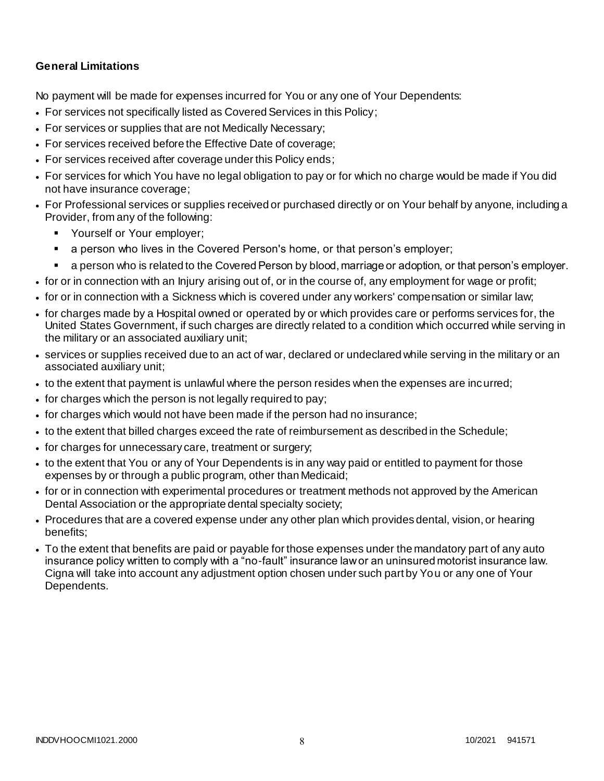## **General Limitations**

No payment will be made for expenses incurred for You or any one of Your Dependents:

- For services not specifically listed as Covered Services in this Policy;
- For services or supplies that are not Medically Necessary;
- For services received before the Effective Date of coverage;
- For services received after coverage under this Policy ends;
- For services for which You have no legal obligation to pay or for which no charge would be made if You did not have insurance coverage;
- For Professional services or supplies received or purchased directly or on Your behalf by anyone, including a Provider, from any of the following:
	- **Yourself or Your employer;**
	- a person who lives in the Covered Person's home, or that person's employer;
	- a person who is related to the Covered Person by blood, marriage or adoption, or that person's employer.
- for or in connection with an Injury arising out of, or in the course of, any employment for wage or profit;
- for or in connection with a Sickness which is covered under any workers' compensation or similar law;
- for charges made by a Hospital owned or operated by or which provides care or performs services for, the United States Government, if such charges are directly related to a condition which occurred while serving in the military or an associated auxiliary unit;
- services or supplies received due to an act of war, declared or undeclared while serving in the military or an associated auxiliary unit;
- to the extent that payment is unlawful where the person resides when the expenses are incurred;
- for charges which the person is not legally required to pay;
- for charges which would not have been made if the person had no insurance;
- to the extent that billed charges exceed the rate of reimbursement as described in the Schedule;
- for charges for unnecessary care, treatment or surgery;
- to the extent that You or any of Your Dependents is in any way paid or entitled to payment for those expenses by or through a public program, other than Medicaid;
- for or in connection with experimental procedures or treatment methods not approved by the American Dental Association or the appropriate dental specialty society;
- Procedures that are a covered expense under any other plan which provides dental, vision, or hearing benefits;
- To the extent that benefits are paid or payable for those expenses under the mandatory part of any auto insurance policy written to comply with a "no-fault" insurance law or an uninsured motorist insurance law. Cigna will take into account any adjustment option chosen under such part by You or any one of Your Dependents.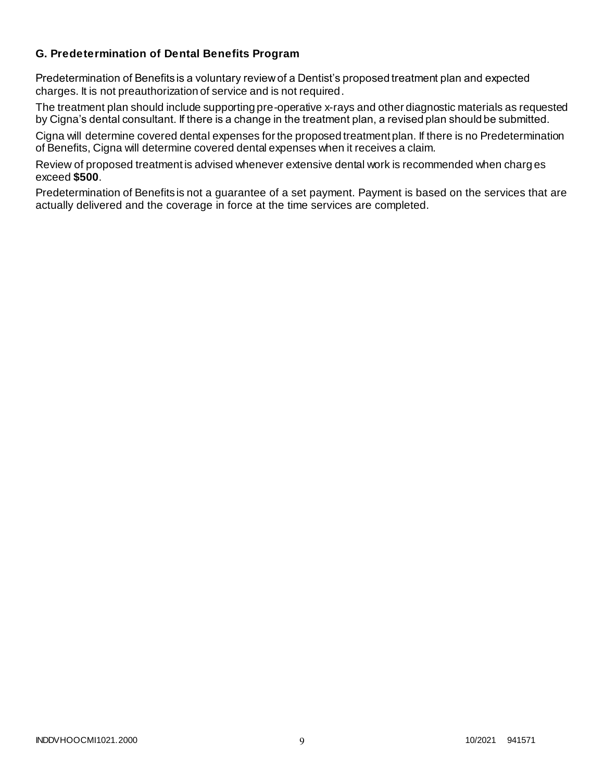## **G. Predetermination of Dental Benefits Program**

Predetermination of Benefits is a voluntary review of a Dentist's proposed treatment plan and expected charges. It is not preauthorization of service and is not required.

The treatment plan should include supporting pre-operative x-rays and other diagnostic materials as requested by Cigna's dental consultant. If there is a change in the treatment plan, a revised plan should be submitted.

Cigna will determine covered dental expenses for the proposed treatment plan. If there is no Predetermination of Benefits, Cigna will determine covered dental expenses when it receives a claim.

Review of proposed treatment is advised whenever extensive dental work is recommended when charg es exceed **\$500**.

Predetermination of Benefits is not a guarantee of a set payment. Payment is based on the services that are actually delivered and the coverage in force at the time services are completed.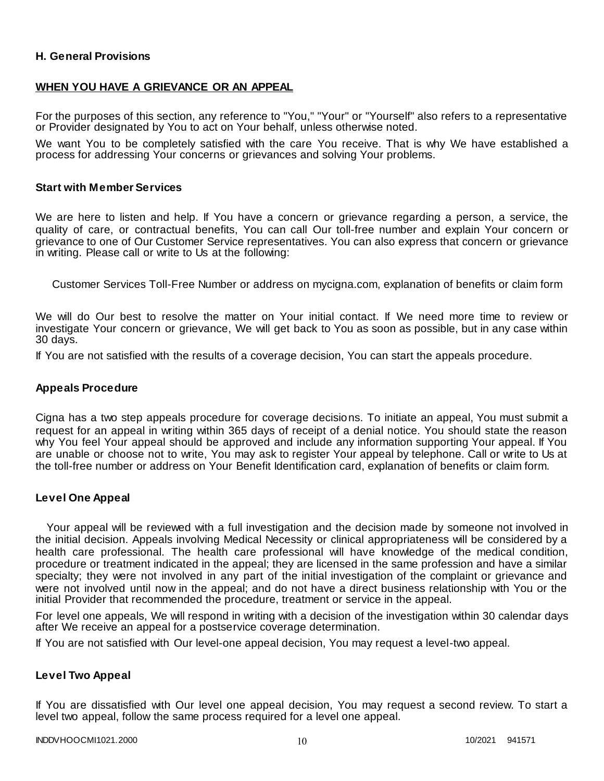## **H. General Provisions**

### **WHEN YOU HAVE A GRIEVANCE OR AN APPEAL**

For the purposes of this section, any reference to "You," "Your" or "Yourself" also refers to a representative or Provider designated by You to act on Your behalf, unless otherwise noted.

We want You to be completely satisfied with the care You receive. That is why We have established a process for addressing Your concerns or grievances and solving Your problems.

#### **Start with Member Services**

We are here to listen and help. If You have a concern or grievance regarding a person, a service, the quality of care, or contractual benefits, You can call Our toll-free number and explain Your concern or grievance to one of Our Customer Service representatives. You can also express that concern or grievance in writing. Please call or write to Us at the following:

Customer Services Toll-Free Number or address on mycigna.com, explanation of benefits or claim form

We will do Our best to resolve the matter on Your initial contact. If We need more time to review or investigate Your concern or grievance, We will get back to You as soon as possible, but in any case within 30 days.

If You are not satisfied with the results of a coverage decision, You can start the appeals procedure.

#### **Appeals Procedure**

Cigna has a two step appeals procedure for coverage decisions. To initiate an appeal, You must submit a request for an appeal in writing within 365 days of receipt of a denial notice. You should state the reason why You feel Your appeal should be approved and include any information supporting Your appeal. If You are unable or choose not to write, You may ask to register Your appeal by telephone. Call or write to Us at the toll-free number or address on Your Benefit Identification card, explanation of benefits or claim form.

#### **Level One Appeal**

Your appeal will be reviewed with a full investigation and the decision made by someone not involved in the initial decision. Appeals involving Medical Necessity or clinical appropriateness will be considered by a health care professional. The health care professional will have knowledge of the medical condition, procedure or treatment indicated in the appeal; they are licensed in the same profession and have a similar specialty; they were not involved in any part of the initial investigation of the complaint or grievance and were not involved until now in the appeal; and do not have a direct business relationship with You or the initial Provider that recommended the procedure, treatment or service in the appeal.

For level one appeals, We will respond in writing with a decision of the investigation within 30 calendar days after We receive an appeal for a postservice coverage determination.

If You are not satisfied with Our level-one appeal decision, You may request a level-two appeal.

#### **Level Two Appeal**

If You are dissatisfied with Our level one appeal decision, You may request a second review. To start a level two appeal, follow the same process required for a level one appeal.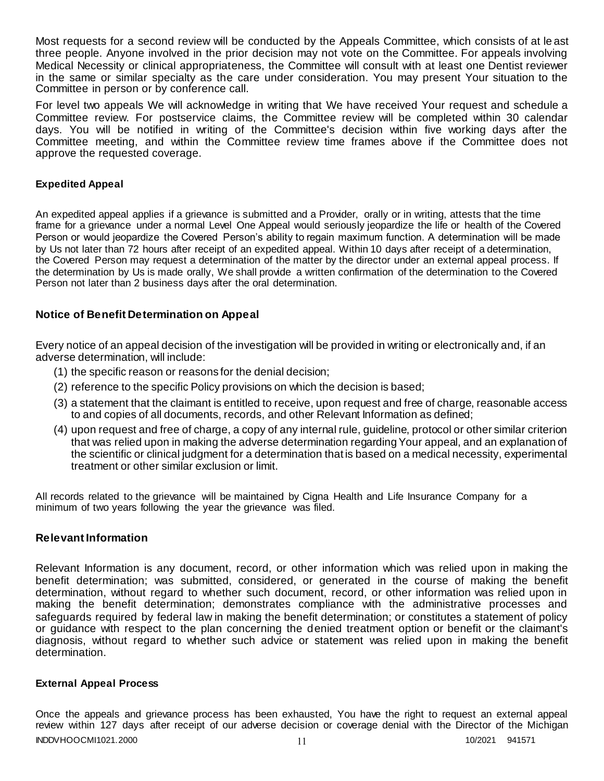Most requests for a second review will be conducted by the Appeals Committee, which consists of at le ast three people. Anyone involved in the prior decision may not vote on the Committee. For appeals involving Medical Necessity or clinical appropriateness, the Committee will consult with at least one Dentist reviewer in the same or similar specialty as the care under consideration. You may present Your situation to the Committee in person or by conference call.

For level two appeals We will acknowledge in writing that We have received Your request and schedule a Committee review. For postservice claims, the Committee review will be completed within 30 calendar days. You will be notified in writing of the Committee's decision within five working days after the Committee meeting, and within the Committee review time frames above if the Committee does not approve the requested coverage.

## **Expedited Appeal**

An expedited appeal applies if a grievance is submitted and a Provider, orally or in writing, attests that the time frame for a grievance under a normal Level One Appeal would seriously jeopardize the life or health of the Covered Person or would jeopardize the Covered Person's ability to regain maximum function. A determination will be made by Us not later than 72 hours after receipt of an expedited appeal. Within 10 days after receipt of a determination, the Covered Person may request a determination of the matter by the director under an external appeal process. If the determination by Us is made orally, We shall provide a written confirmation of the determination to the Covered Person not later than 2 business days after the oral determination.

## **Notice of Benefit Determination on Appeal**

Every notice of an appeal decision of the investigation will be provided in writing or electronically and, if an adverse determination, will include:

- (1) the specific reason or reasons for the denial decision;
- (2) reference to the specific Policy provisions on which the decision is based;
- (3) a statement that the claimant is entitled to receive, upon request and free of charge, reasonable access to and copies of all documents, records, and other Relevant Information as defined;
- (4) upon request and free of charge, a copy of any internal rule, guideline, protocol or other similar criterion that was relied upon in making the adverse determination regarding Your appeal, and an explanation of the scientific or clinical judgment for a determination that is based on a medical necessity, experimental treatment or other similar exclusion or limit.

All records related to the grievance will be maintained by Cigna Health and Life Insurance Company for a minimum of two years following the year the grievance was filed.

## **Relevant Information**

Relevant Information is any document, record, or other information which was relied upon in making the benefit determination; was submitted, considered, or generated in the course of making the benefit determination, without regard to whether such document, record, or other information was relied upon in making the benefit determination; demonstrates compliance with the administrative processes and safeguards required by federal law in making the benefit determination; or constitutes a statement of policy or guidance with respect to the plan concerning the denied treatment option or benefit or the claimant's diagnosis, without regard to whether such advice or statement was relied upon in making the benefit determination.

#### **External Appeal Process**

INDDVHOOCMI1021.2000 11 10/2021 941571 Once the appeals and grievance process has been exhausted, You have the right to request an external appeal review within 127 days after receipt of our adverse decision or coverage denial with the Director of the Michigan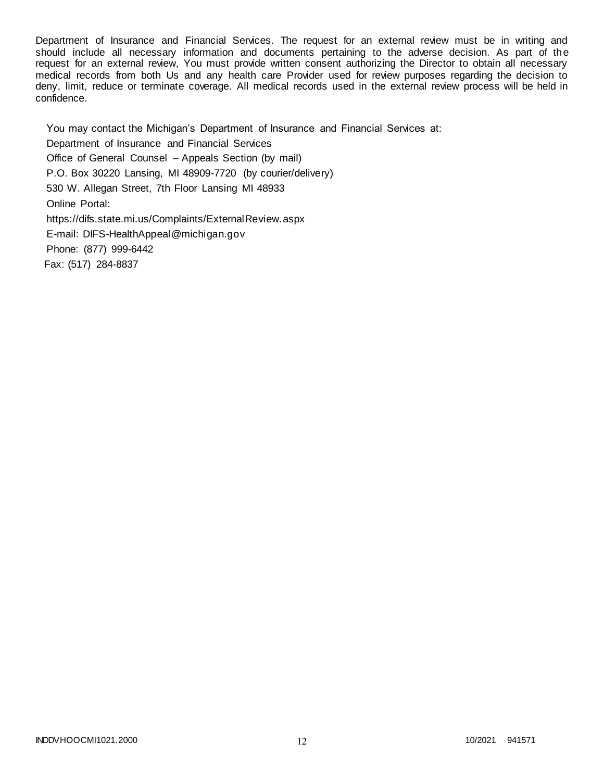Department of Insurance and Financial Services. The request for an external review must be in writing and should include all necessary information and documents pertaining to the adverse decision. As part of the request for an external review, You must provide written consent authorizing the Director to obtain all necessary medical records from both Us and any health care Provider used for review purposes regarding the decision to deny, limit, reduce or terminate coverage. All medical records used in the external review process will be held in confidence.

You may contact the Michigan's Department of Insurance and Financial Services at: Department of Insurance and Financial Services Office of General Counsel – Appeals Section (by mail) P.O. Box 30220 Lansing, MI 48909-7720 (by courier/delivery) 530 W. Allegan Street, 7th Floor Lansing MI 48933 Online Portal: https://difs.state.mi.us/Complaints/ExternalReview.aspx E-mail: DIFS-HealthAppeal@michigan.gov Phone: (877) 999-6442 Fax: (517) 284-8837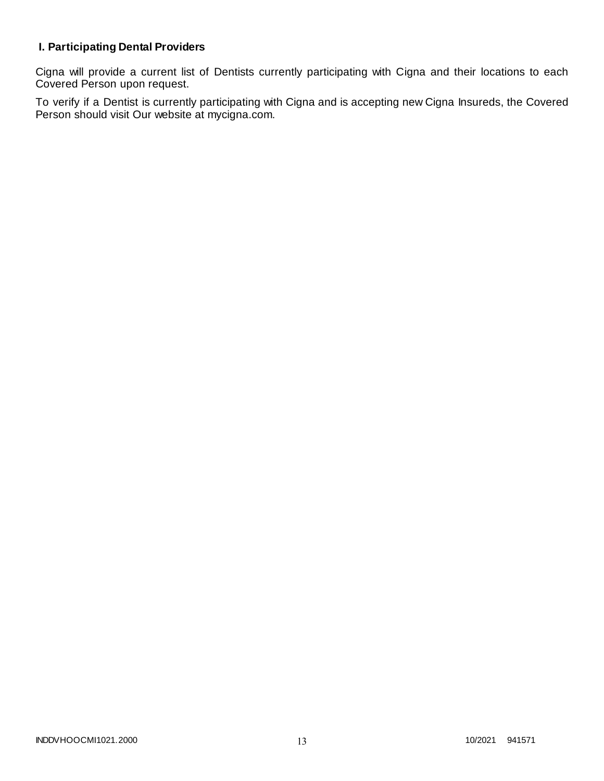# **I. Participating Dental Providers**

Cigna will provide a current list of Dentists currently participating with Cigna and their locations to each Covered Person upon request.

To verify if a Dentist is currently participating with Cigna and is accepting new Cigna Insureds, the Covered Person should visit Our website at mycigna.com.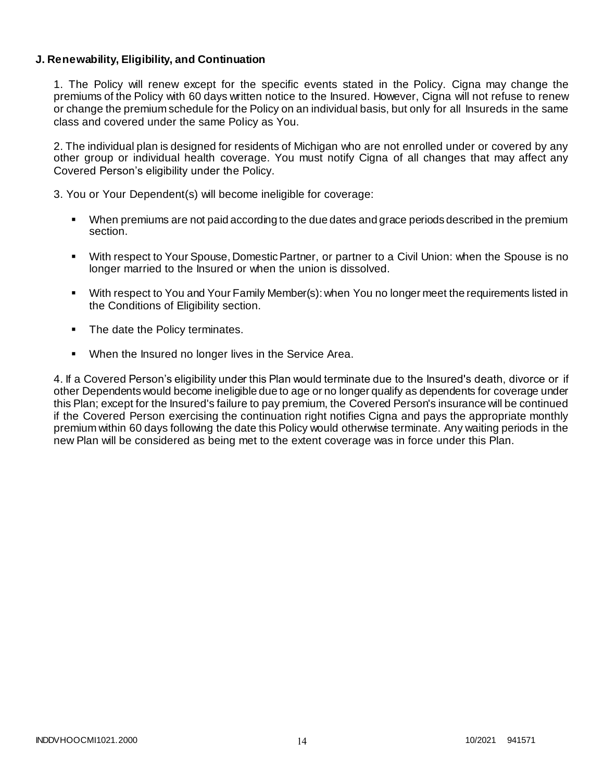## **J. Renewability, Eligibility, and Continuation**

1. The Policy will renew except for the specific events stated in the Policy. Cigna may change the premiums of the Policy with 60 days written notice to the Insured. However, Cigna will not refuse to renew or change the premium schedule for the Policy on an individual basis, but only for all Insureds in the same class and covered under the same Policy as You.

2. The individual plan is designed for residents of Michigan who are not enrolled under or covered by any other group or individual health coverage. You must notify Cigna of all changes that may affect any Covered Person's eligibility under the Policy.

3. You or Your Dependent(s) will become ineligible for coverage:

- When premiums are not paid according to the due dates and grace periods described in the premium section.
- With respect to Your Spouse, Domestic Partner, or partner to a Civil Union: when the Spouse is no longer married to the Insured or when the union is dissolved.
- With respect to You and Your Family Member(s): when You no longer meet the requirements listed in the Conditions of Eligibility section.
- The date the Policy terminates.
- When the Insured no longer lives in the Service Area.

4. If a Covered Person's eligibility under this Plan would terminate due to the Insured's death, divorce or if other Dependents would become ineligible due to age or no longer qualify as dependents for coverage under this Plan; except for the Insured's failure to pay premium, the Covered Person's insurance will be continued if the Covered Person exercising the continuation right notifies Cigna and pays the appropriate monthly premium within 60 days following the date this Policy would otherwise terminate. Any waiting periods in the new Plan will be considered as being met to the extent coverage was in force under this Plan.